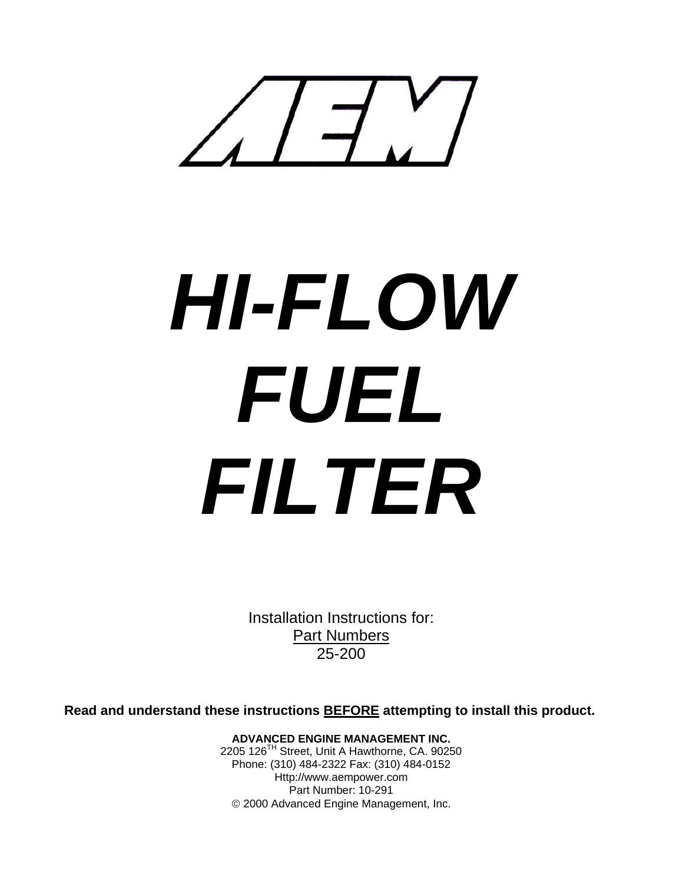

# *HI-FLOW FUEL FILTER*

Installation Instructions for: Part Numbers 25-200

**Read and understand these instructions BEFORE attempting to install this product.**

**ADVANCED ENGINE MANAGEMENT INC.**  2205 126TH Street, Unit A Hawthorne, CA. 90250 Phone: (310) 484-2322 Fax: (310) 484-0152 Http://www.aempower.com Part Number: 10-291 © 2000 Advanced Engine Management, Inc.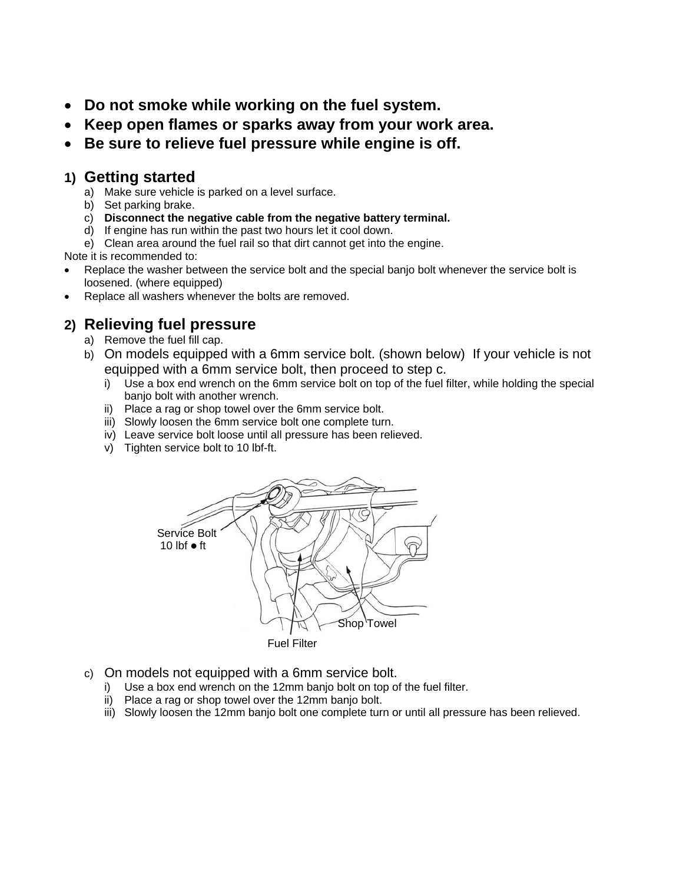- **Do not smoke while working on the fuel system.**
- **Keep open flames or sparks away from your work area.**
- **Be sure to relieve fuel pressure while engine is off.**

## **1) Getting started**

- a) Make sure vehicle is parked on a level surface.
- b) Set parking brake.
- c) **Disconnect the negative cable from the negative battery terminal.**
- d) If engine has run within the past two hours let it cool down.
- e) Clean area around the fuel rail so that dirt cannot get into the engine.

Note it is recommended to:

- Replace the washer between the service bolt and the special banjo bolt whenever the service bolt is loosened. (where equipped)
- Replace all washers whenever the bolts are removed.

# **2) Relieving fuel pressure**

- a) Remove the fuel fill cap.
- b) On models equipped with a 6mm service bolt. (shown below) If your vehicle is not equipped with a 6mm service bolt, then proceed to step c.
	- i) Use a box end wrench on the 6mm service bolt on top of the fuel filter, while holding the special banjo bolt with another wrench.
	- ii) Place a rag or shop towel over the 6mm service bolt.
	- iii) Slowly loosen the 6mm service bolt one complete turn.
	- iv) Leave service bolt loose until all pressure has been relieved.
	- v) Tighten service bolt to 10 lbf-ft.



- c) On models not equipped with a 6mm service bolt.
	- i) Use a box end wrench on the 12mm banjo bolt on top of the fuel filter.
	- ii) Place a rag or shop towel over the 12mm banjo bolt.
	- iii) Slowly loosen the 12mm banjo bolt one complete turn or until all pressure has been relieved.